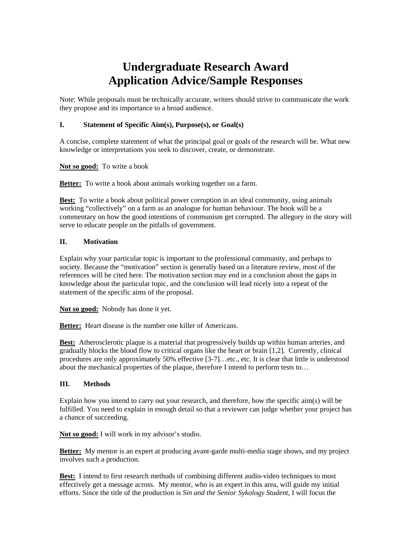# **Undergraduate Research Award Application Advice/Sample Responses**

Note: While proposals must be technically accurate, writers should strive to communicate the work they propose and its importance to a broad audience.

## **I. Statement of Specific Aim(s), Purpose(s), or Goal(s)**

A concise, complete statement of what the principal goal or goals of the research will be. What new knowledge or interpretations you seek to discover, create, or demonstrate.

**Not so good:** To write a book

**Better:** To write a book about animals working together on a farm.

**Best:** To write a book about political power corruption in an ideal community, using animals working "collectively" on a farm as an analogue for human behaviour. The book will be a commentary on how the good intentions of communism get corrupted. The allegory in the story will serve to educate people on the pitfalls of government.

### **II. Motivation**

Explain why your particular topic is important to the professional community, and perhaps to society. Because the "motivation" section is generally based on a literature review, most of the references will be cited here. The motivation section may end in a conclusion about the gaps in knowledge about the particular topic, and the conclusion will lead nicely into a repeat of the statement of the specific aims of the proposal.

**Not so good:** Nobody has done it yet.

**Better:** Heart disease is the number one killer of Americans.

**Best:** Atherosclerotic plaque is a material that progressively builds up within human arteries, and gradually blocks the blood flow to critical organs like the heart or brain [1,2]. Currently, clinical procedures are only approximately 50% effective [3-7]…etc., etc. It is clear that little is understood about the mechanical properties of the plaque, therefore I intend to perform tests to…

### **III. Methods**

Explain how you intend to carry out your research, and therefore, how the specific aim(s) will be fulfilled. You need to explain in enough detail so that a reviewer can judge whether your project has a chance of succeeding.

**Not so good:** I will work in my advisor's studio.

**Better:** My mentor is an expert at producing avant-garde multi-media stage shows, and my project involves such a production.

**Best:** I intend to first research methods of combining different audio-video techniques to most effectively get a message across. My mentor, who is an expert in this area, will guide my initial efforts. Since the title of the production is *Sin and the Senior Sykology Student*, I will focus the